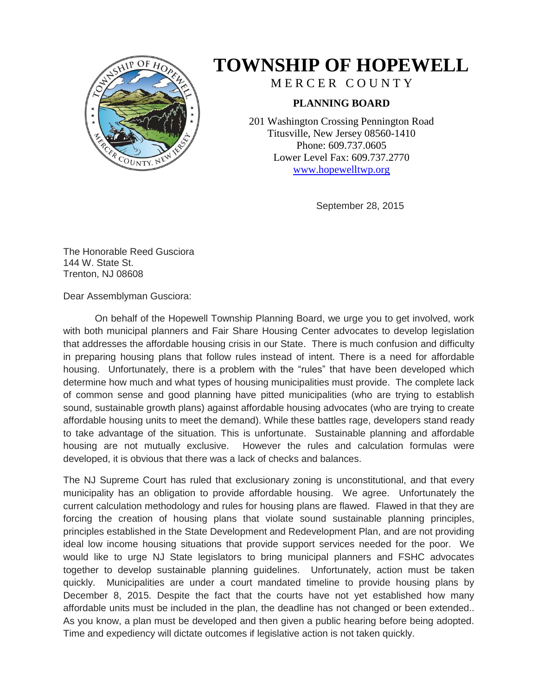

## **TOWNSHIP OF HOPEWELL**

MERCER COUNTY

## **PLANNING BOARD**

201 Washington Crossing Pennington Road Titusville, New Jersey 08560-1410 Phone: 609.737.0605 Lower Level Fax: 609.737.2770 [www.hopewelltwp.org](http://www.hopewelltwp.org/)

September 28, 2015

The Honorable Reed Gusciora 144 W. State St. Trenton, NJ 08608

Dear Assemblyman Gusciora:

On behalf of the Hopewell Township Planning Board, we urge you to get involved, work with both municipal planners and Fair Share Housing Center advocates to develop legislation that addresses the affordable housing crisis in our State. There is much confusion and difficulty in preparing housing plans that follow rules instead of intent. There is a need for affordable housing. Unfortunately, there is a problem with the "rules" that have been developed which determine how much and what types of housing municipalities must provide. The complete lack of common sense and good planning have pitted municipalities (who are trying to establish sound, sustainable growth plans) against affordable housing advocates (who are trying to create affordable housing units to meet the demand). While these battles rage, developers stand ready to take advantage of the situation. This is unfortunate. Sustainable planning and affordable housing are not mutually exclusive. However the rules and calculation formulas were developed, it is obvious that there was a lack of checks and balances.

The NJ Supreme Court has ruled that exclusionary zoning is unconstitutional, and that every municipality has an obligation to provide affordable housing. We agree. Unfortunately the current calculation methodology and rules for housing plans are flawed. Flawed in that they are forcing the creation of housing plans that violate sound sustainable planning principles, principles established in the State Development and Redevelopment Plan, and are not providing ideal low income housing situations that provide support services needed for the poor. We would like to urge NJ State legislators to bring municipal planners and FSHC advocates together to develop sustainable planning guidelines. Unfortunately, action must be taken quickly. Municipalities are under a court mandated timeline to provide housing plans by December 8, 2015. Despite the fact that the courts have not yet established how many affordable units must be included in the plan, the deadline has not changed or been extended.. As you know, a plan must be developed and then given a public hearing before being adopted. Time and expediency will dictate outcomes if legislative action is not taken quickly.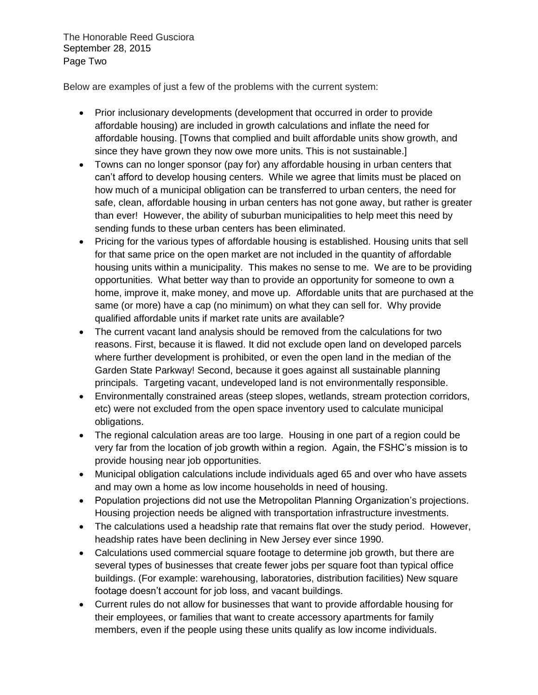The Honorable Reed Gusciora September 28, 2015 Page Two

Below are examples of just a few of the problems with the current system:

- Prior inclusionary developments (development that occurred in order to provide affordable housing) are included in growth calculations and inflate the need for affordable housing. [Towns that complied and built affordable units show growth, and since they have grown they now owe more units. This is not sustainable.]
- Towns can no longer sponsor (pay for) any affordable housing in urban centers that can't afford to develop housing centers. While we agree that limits must be placed on how much of a municipal obligation can be transferred to urban centers, the need for safe, clean, affordable housing in urban centers has not gone away, but rather is greater than ever! However, the ability of suburban municipalities to help meet this need by sending funds to these urban centers has been eliminated.
- Pricing for the various types of affordable housing is established. Housing units that sell for that same price on the open market are not included in the quantity of affordable housing units within a municipality. This makes no sense to me. We are to be providing opportunities. What better way than to provide an opportunity for someone to own a home, improve it, make money, and move up. Affordable units that are purchased at the same (or more) have a cap (no minimum) on what they can sell for. Why provide qualified affordable units if market rate units are available?
- The current vacant land analysis should be removed from the calculations for two reasons. First, because it is flawed. It did not exclude open land on developed parcels where further development is prohibited, or even the open land in the median of the Garden State Parkway! Second, because it goes against all sustainable planning principals. Targeting vacant, undeveloped land is not environmentally responsible.
- Environmentally constrained areas (steep slopes, wetlands, stream protection corridors, etc) were not excluded from the open space inventory used to calculate municipal obligations.
- The regional calculation areas are too large. Housing in one part of a region could be very far from the location of job growth within a region. Again, the FSHC's mission is to provide housing near job opportunities.
- Municipal obligation calculations include individuals aged 65 and over who have assets and may own a home as low income households in need of housing.
- Population projections did not use the Metropolitan Planning Organization's projections. Housing projection needs be aligned with transportation infrastructure investments.
- The calculations used a headship rate that remains flat over the study period. However, headship rates have been declining in New Jersey ever since 1990.
- Calculations used commercial square footage to determine job growth, but there are several types of businesses that create fewer jobs per square foot than typical office buildings. (For example: warehousing, laboratories, distribution facilities) New square footage doesn't account for job loss, and vacant buildings.
- Current rules do not allow for businesses that want to provide affordable housing for their employees, or families that want to create accessory apartments for family members, even if the people using these units qualify as low income individuals.